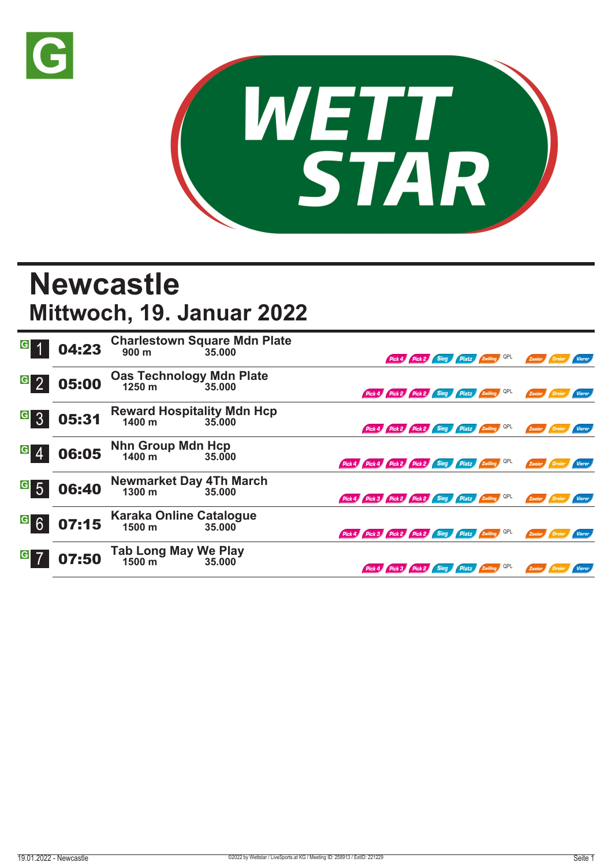



## **Newcastle Mittwoch, 19. Januar 2022**

| $\overline{G}$             | 04:23 |                                             | Charlestown Square Mdn Plate<br>900 m<br>35.000 |                                                     |  |  | Pick 4 Pick 2 Sieg Platz Zwilling QPL        |        | Zweier Dreier        |               |
|----------------------------|-------|---------------------------------------------|-------------------------------------------------|-----------------------------------------------------|--|--|----------------------------------------------|--------|----------------------|---------------|
| G <sub>2</sub>             | 05:00 | Oas Technology Mdn Plate<br>1250 m 35.000   |                                                 |                                                     |  |  | Pick 4 Pick 2 Pick 2 Sieg Platz Zwilling QPL |        | Zweier Dreier        | Vierer        |
| $G_{3}$                    | 05:31 | Reward Hospitality Mdn Hcp<br>1400 m 35.000 |                                                 |                                                     |  |  | Pick 4 Pick 2 Pick 2 Sieg Platz Zwilling QPL |        | Zweier <b>Dreier</b> | <b>Vierer</b> |
| $G \, \Lambda$             | 06:05 | Nhn Group Mdn Hcp<br>1400 m 35.000          | 35,000                                          | Pick 4 Pick 4 Pick 2 Pick 2 Sieg Platz Zwilling QPL |  |  |                                              |        | Zweier Dreier        | <b>Vierer</b> |
| $\overline{\phantom{a}}$ 5 | 06:40 | <b>Newmarket Day 4Th March</b><br>1300 m    | 35,000                                          | Pick 4 Pick 3 Pick 2 Pick 2 Sieg Platz Zwilling QPL |  |  |                                              |        | Zweier Dreier        | Vierer        |
| <sup>G</sup> 6             | 07:15 | <b>Karaka Online Catalogue</b><br>1500 m    | 35.000                                          | Pick 4 Pick 3 Pick 2 Pick 2 Sieg Platz Zwilling QPL |  |  |                                              | Zweier |                      |               |
| G                          | 07:50 | Tab Long May We Play<br>1500 m 35.000       |                                                 |                                                     |  |  | Pick 4 Pick 3 Pick 2 Sieg Platz Zwilling QPL |        | Zweier Dreier        | <b>Vierer</b> |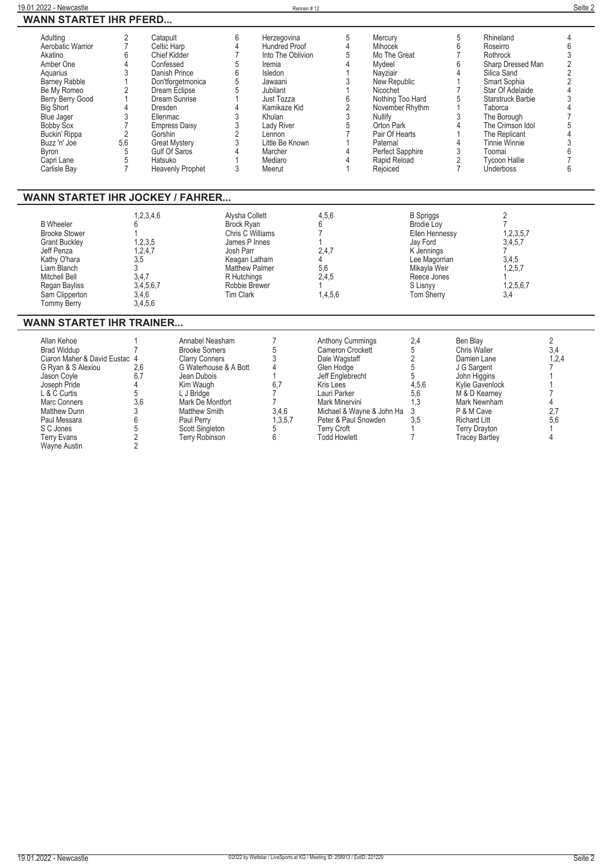| WANN STARTET IHR PFERD                                                                                                                                                                                                                                                          |                                                                                                                                                                                                                                                                                                                                                     |                                                                                                                                                                                                                                              |                                                                                                                                                                                                                         |                                                                                                                                                                                                                                                 |                                                                                                                                                                    |                                                                                                                                                                                                                                                                                                                                                                                                                                                    |                                                                                                                                                                           |
|---------------------------------------------------------------------------------------------------------------------------------------------------------------------------------------------------------------------------------------------------------------------------------|-----------------------------------------------------------------------------------------------------------------------------------------------------------------------------------------------------------------------------------------------------------------------------------------------------------------------------------------------------|----------------------------------------------------------------------------------------------------------------------------------------------------------------------------------------------------------------------------------------------|-------------------------------------------------------------------------------------------------------------------------------------------------------------------------------------------------------------------------|-------------------------------------------------------------------------------------------------------------------------------------------------------------------------------------------------------------------------------------------------|--------------------------------------------------------------------------------------------------------------------------------------------------------------------|----------------------------------------------------------------------------------------------------------------------------------------------------------------------------------------------------------------------------------------------------------------------------------------------------------------------------------------------------------------------------------------------------------------------------------------------------|---------------------------------------------------------------------------------------------------------------------------------------------------------------------------|
| Adulting<br>Aerobatic Warrior<br>Akatino<br>Amber One<br>Aguarius<br>Barney Rabble<br>1<br>Be My Romeo<br>Berry Berry Good<br>1<br>Big Short<br>$\overline{4}$<br>Blue Jager<br><b>Bobby Sox</b><br>Buckin' Rippa<br>5,6<br>Buzz 'n' Joe<br>Byron<br>Capri Lane<br>Carlisle Bay | $\overline{2}$<br>Catapult<br>$\overline{7}$<br>Celtic Harp<br>6<br>Chief Kidder<br>$\overline{4}$<br>Confessed<br>3<br>Danish Prince<br>$\sqrt{2}$<br>Dream Eclipse<br>Dream Sunrise<br><b>Dresden</b><br>3<br>Ellenmac<br>$\overline{7}$<br>$\sqrt{2}$<br>Gorshin<br><b>Great Mystery</b><br>5<br>Gulf Of Saros<br>5<br>Hatsuko<br>$\overline{7}$ | 6<br>$\frac{4}{7}$<br>5<br>6<br>5<br>Don'tforgetmonica<br>$\overline{5}$<br>$\mathbf{1}$<br>4<br>$\begin{array}{c}\n3 \\ 3 \\ 2 \\ 3\n\end{array}$<br><b>Empress Daisy</b><br>$\overline{4}$<br>$\mathbf{1}$<br>3<br><b>Heavenly Prophet</b> | Herzegovina<br><b>Hundred Proof</b><br>Into The Oblivion<br>Iremia<br>Isledon<br>Jawaani<br>Jubilant<br>Just Tozza<br>Kamikaze Kid<br>Khulan<br>Lady River<br>Lennon<br>Little Be Known<br>Marcher<br>Mediaro<br>Meerut | 5<br>Mercury<br>$\overline{4}$<br>Mihocek<br>5<br>4<br>Mydeel<br>1<br>Nayziair<br>3<br>1<br>Nicochet<br>6<br>$\frac{1}{2}$<br>3<br>Nullify<br>5<br>7<br>1<br>Paternal<br>4<br>4<br>Rejoiced<br>1                                                | Mo The Great<br>New Republic<br>Nothing Too Hard<br>November Rhythm<br>Orton Park<br>Pair Of Hearts<br>Perfect Sapphire<br>Rapid Reload                            | 5<br>Rhineland<br>6<br>Roseirro<br>$\overline{7}$<br>Rothrock<br>6<br>Sharp Dressed Man<br>4<br>Silica Sand<br>$\mathbf{1}$<br>Smart Sophia<br>$\overline{7}$<br>Star Of Adelaide<br>5<br>Starstruck Barbie<br>$\mathbf{1}$<br>Taborca<br>3<br>The Borough<br>$\overline{4}$<br>The Crimson Idol<br>The Replicant<br>1<br>4<br><b>Tinnie Winnie</b><br>3<br>Toomai<br>$\overline{2}$<br><b>Tycoon Hallie</b><br>$\overline{7}$<br><b>Underboss</b> | 4<br>6<br>3<br>$\sqrt{2}$<br>$\overline{2}$<br>$\sqrt{2}$<br>$\overline{\mathcal{L}}$<br>3<br>$\overline{4}$<br>$\overline{7}$<br>5<br>4<br>3<br>6<br>$\overline{7}$<br>6 |
| <b>WANN STARTET IHR JOCKEY / FAHRER</b>                                                                                                                                                                                                                                         |                                                                                                                                                                                                                                                                                                                                                     |                                                                                                                                                                                                                                              |                                                                                                                                                                                                                         |                                                                                                                                                                                                                                                 |                                                                                                                                                                    |                                                                                                                                                                                                                                                                                                                                                                                                                                                    |                                                                                                                                                                           |
| <b>B</b> Wheeler<br><b>Brooke Stower</b><br><b>Grant Buckley</b><br>Jeff Penza<br>Kathy O'hara<br>Liam Blanch<br>Mitchell Bell<br>Regan Bayliss<br>Sam Clipperton<br><b>Tommy Berry</b>                                                                                         | 1,2,3,4,6<br>6<br>1<br>1,2,3,5<br>1,2,4,7<br>3,5<br>3<br>3.4.7<br>3,4,5,6,7<br>3,4,6<br>3,4,5,6                                                                                                                                                                                                                                                     | Alysha Collett<br>Brock Ryan<br>Chris C Williams<br>James P Innes<br>Josh Parr<br>Keagan Latham<br>Matthew Palmer<br>R Hutchings<br>Robbie Brewer<br><b>Tim Clark</b>                                                                        |                                                                                                                                                                                                                         | 4,5,6<br>6<br>$\overline{7}$<br>1<br>2,4,7<br>4<br>5,6<br>2.4.5<br>1<br>1,4,5,6                                                                                                                                                                 | <b>B</b> Spriggs<br><b>Brodie Lov</b><br>Ellen Hennessy<br>Jav Ford<br>K Jennings<br>Lee Magorrian<br>Mikayla Weir<br>Reece Jones<br>S Lisnvv<br><b>Tom Sherry</b> | $\overline{2}$<br>$\overline{7}$<br>1,2,3,5,7<br>3,4,5,7<br>$\overline{7}$<br>3,4,5<br>1,2,5,7<br>1<br>1,2,5,6,7<br>3,4                                                                                                                                                                                                                                                                                                                            |                                                                                                                                                                           |
| <b>WANN STARTET IHR TRAINER</b>                                                                                                                                                                                                                                                 |                                                                                                                                                                                                                                                                                                                                                     |                                                                                                                                                                                                                                              |                                                                                                                                                                                                                         |                                                                                                                                                                                                                                                 |                                                                                                                                                                    |                                                                                                                                                                                                                                                                                                                                                                                                                                                    |                                                                                                                                                                           |
| Allan Kehoe<br><b>Brad Widdup</b><br>Ciaron Maher & David Eustac 4<br>G Ryan & S Alexiou<br>Jason Coyle<br>Joseph Pride<br>L & C Curtis<br>Marc Conners<br><b>Matthew Dunn</b><br>Paul Messara<br>S C Jones<br><b>Terry Evans</b><br><b>Wayne Austin</b>                        | 1<br>$\overline{7}$<br>2,6<br>6.7<br>4<br>5<br>3,6<br>3<br>6<br>5<br>$\overline{2}$<br>$\overline{2}$                                                                                                                                                                                                                                               | Annabel Neasham<br><b>Brooke Somers</b><br><b>Clarry Conners</b><br>G Waterhouse & A Bott<br>Jean Dubois<br>Kim Waugh<br>L J Bridge<br>Mark De Montfort<br><b>Matthew Smith</b><br>Paul Perry<br>Scott Singleton<br><b>Terry Robinson</b>    | $\overline{7}$<br>5<br>3<br>$\overline{4}$<br>$\mathbf{1}$<br>6,7<br>$\overline{7}$<br>7<br>3,4,6<br>1,3,5,7<br>5<br>6                                                                                                  | <b>Anthony Cummings</b><br>Cameron Crockett<br>Dale Wagstaff<br>Glen Hodge<br>Jeff Englebrecht<br>Kris Lees<br>Lauri Parker<br>Mark Minervini<br>Michael & Wayne & John Ha<br>Peter & Paul Snowden<br><b>Terry Croft</b><br><b>Todd Howlett</b> | 2,4<br>5<br>$\overline{2}$<br>5<br>5<br>4,5,6<br>5,6<br>1,3<br>3<br>3,5<br>1<br>$\overline{7}$                                                                     | Ben Blay<br>Chris Waller<br>Damien Lane<br>J G Sargent<br>John Higgins<br>Kylie Gavenlock<br>M & D Kearney<br>Mark Newnham<br>P & M Cave<br><b>Richard Litt</b><br><b>Terry Drayton</b><br><b>Tracey Bartley</b>                                                                                                                                                                                                                                   | $\overline{2}$<br>3,4<br>1,2,4<br>7<br>$\mathbf{1}$<br>7<br>4<br>2,7<br>5,6<br>$\mathbf{1}$<br>$\overline{4}$                                                             |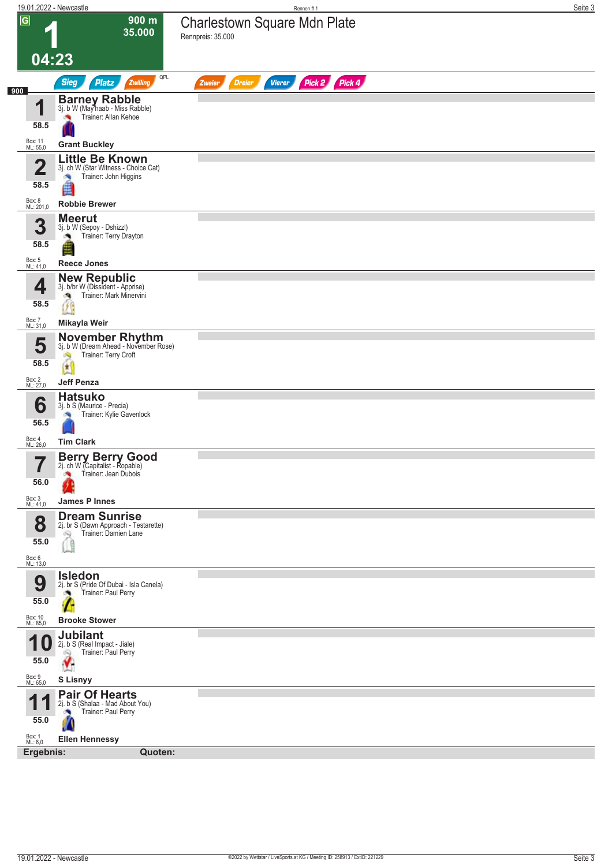| 900 m<br>Charlestown Square Mdn Plate<br>35.000<br>Rennpreis: 35.000<br>04:23<br>QPL<br>Pick 2 Pick 4<br><b>Sieg</b><br>Platz<br>Zwilling<br>Vierer<br><b>Dreier</b><br>Zweier<br><b>Barney Rabble</b><br>3j. b W (Mayhaab - Miss Rabble)<br>1<br>Trainer: Allan Kehoe<br>×<br>58.5<br>Box: 11<br>ML: 55,0<br><b>Grant Buckley</b><br><b>Little Be Known</b><br>$\overline{2}$<br>3j. ch W (Star Witness - Choice Cat)<br>Trainer: John Higgins<br>×,<br>58.5<br>é<br>Box: 8<br>ML: 201,0<br><b>Robbie Brewer</b><br><b>Meerut</b><br>3<br>3j. b W (Sepoy - Dshizzl)<br>Trainer: Terry Drayton<br>۸<br>58.5<br>Box: 5<br>ML: 41,0<br><b>Reece Jones</b><br><b>New Republic</b><br>4<br>3j. b/br W (Dissident - Apprise)<br>Trainer: Mark Minervini<br>$\mathcal{R}$<br>58.5<br>Z<br>Box: 7<br>ML: 31,0<br>Mikayla Weir<br>November Rhythm<br>3j. b W (Dream Ahead - November Rose)<br>5<br>Trainer: Terry Croft<br>D<br>58.5<br>$\mathbf{t}$<br>Box: 2<br>ML: 27,0<br><b>Jeff Penza</b><br><b>Hatsuko</b><br>6<br>3j. b S (Maurice - Precia)<br>Trainer: Kylie Gavenlock<br>×<br>56.5<br>Box: 4<br>ML: 26,0<br><b>Tim Clark</b><br><b>Berry Berry Good</b><br>$\overline{\phantom{a}}$<br>2j. ch W (Capitalist - Ropable)<br>I<br>Trainer: Jean Dubois<br>56.0<br>Box: 3<br>ML: 41,0<br><b>James P Innes</b><br><b>Dream Sunrise</b><br>8<br>2j. br S (Dawn Approach - Testarette)<br>Trainer: Damien Lane<br>Q<br>55.0<br>î d<br>Box: 6<br>ML: 13,0<br><b>Isledon</b><br>9<br>2j. br S (Pride Of Dubai - Isla Canela)<br>Trainer: Paul Perry<br>a.<br>55.0<br>Box: 10<br>ML: 85,0<br><b>Brooke Stower</b><br><b>Jubilant</b><br>4<br>2j. b S (Real Impact - Jiale)<br>1 U<br>Trainer: Paul Perry<br>$\frac{1}{2}$<br>55.0<br>Box: 9<br>ML: 65,0<br><b>S Lisnyy</b><br><b>Pair Of Hearts</b><br>А<br>и<br>2j. b S (Shalaa - Mad About You)<br>Trainer: Paul Perry<br>55.0<br>Box: 1<br>ML: 6,0<br><b>Ellen Hennessy</b><br>Ergebnis:<br>Quoten: |                | 19.01.2022 - Newcastle | Rennen#1 | Seite 3 |
|-------------------------------------------------------------------------------------------------------------------------------------------------------------------------------------------------------------------------------------------------------------------------------------------------------------------------------------------------------------------------------------------------------------------------------------------------------------------------------------------------------------------------------------------------------------------------------------------------------------------------------------------------------------------------------------------------------------------------------------------------------------------------------------------------------------------------------------------------------------------------------------------------------------------------------------------------------------------------------------------------------------------------------------------------------------------------------------------------------------------------------------------------------------------------------------------------------------------------------------------------------------------------------------------------------------------------------------------------------------------------------------------------------------------------------------------------------------------------------------------------------------------------------------------------------------------------------------------------------------------------------------------------------------------------------------------------------------------------------------------------------------------------------------------------------------------------------------------------------------------------------------------------------------------------------------------------|----------------|------------------------|----------|---------|
|                                                                                                                                                                                                                                                                                                                                                                                                                                                                                                                                                                                                                                                                                                                                                                                                                                                                                                                                                                                                                                                                                                                                                                                                                                                                                                                                                                                                                                                                                                                                                                                                                                                                                                                                                                                                                                                                                                                                                 | $\overline{G}$ |                        |          |         |
|                                                                                                                                                                                                                                                                                                                                                                                                                                                                                                                                                                                                                                                                                                                                                                                                                                                                                                                                                                                                                                                                                                                                                                                                                                                                                                                                                                                                                                                                                                                                                                                                                                                                                                                                                                                                                                                                                                                                                 |                |                        |          |         |
|                                                                                                                                                                                                                                                                                                                                                                                                                                                                                                                                                                                                                                                                                                                                                                                                                                                                                                                                                                                                                                                                                                                                                                                                                                                                                                                                                                                                                                                                                                                                                                                                                                                                                                                                                                                                                                                                                                                                                 | 900            |                        |          |         |
|                                                                                                                                                                                                                                                                                                                                                                                                                                                                                                                                                                                                                                                                                                                                                                                                                                                                                                                                                                                                                                                                                                                                                                                                                                                                                                                                                                                                                                                                                                                                                                                                                                                                                                                                                                                                                                                                                                                                                 |                |                        |          |         |
|                                                                                                                                                                                                                                                                                                                                                                                                                                                                                                                                                                                                                                                                                                                                                                                                                                                                                                                                                                                                                                                                                                                                                                                                                                                                                                                                                                                                                                                                                                                                                                                                                                                                                                                                                                                                                                                                                                                                                 |                |                        |          |         |
|                                                                                                                                                                                                                                                                                                                                                                                                                                                                                                                                                                                                                                                                                                                                                                                                                                                                                                                                                                                                                                                                                                                                                                                                                                                                                                                                                                                                                                                                                                                                                                                                                                                                                                                                                                                                                                                                                                                                                 |                |                        |          |         |
|                                                                                                                                                                                                                                                                                                                                                                                                                                                                                                                                                                                                                                                                                                                                                                                                                                                                                                                                                                                                                                                                                                                                                                                                                                                                                                                                                                                                                                                                                                                                                                                                                                                                                                                                                                                                                                                                                                                                                 |                |                        |          |         |
|                                                                                                                                                                                                                                                                                                                                                                                                                                                                                                                                                                                                                                                                                                                                                                                                                                                                                                                                                                                                                                                                                                                                                                                                                                                                                                                                                                                                                                                                                                                                                                                                                                                                                                                                                                                                                                                                                                                                                 |                |                        |          |         |
|                                                                                                                                                                                                                                                                                                                                                                                                                                                                                                                                                                                                                                                                                                                                                                                                                                                                                                                                                                                                                                                                                                                                                                                                                                                                                                                                                                                                                                                                                                                                                                                                                                                                                                                                                                                                                                                                                                                                                 |                |                        |          |         |
|                                                                                                                                                                                                                                                                                                                                                                                                                                                                                                                                                                                                                                                                                                                                                                                                                                                                                                                                                                                                                                                                                                                                                                                                                                                                                                                                                                                                                                                                                                                                                                                                                                                                                                                                                                                                                                                                                                                                                 |                |                        |          |         |
|                                                                                                                                                                                                                                                                                                                                                                                                                                                                                                                                                                                                                                                                                                                                                                                                                                                                                                                                                                                                                                                                                                                                                                                                                                                                                                                                                                                                                                                                                                                                                                                                                                                                                                                                                                                                                                                                                                                                                 |                |                        |          |         |
|                                                                                                                                                                                                                                                                                                                                                                                                                                                                                                                                                                                                                                                                                                                                                                                                                                                                                                                                                                                                                                                                                                                                                                                                                                                                                                                                                                                                                                                                                                                                                                                                                                                                                                                                                                                                                                                                                                                                                 |                |                        |          |         |
|                                                                                                                                                                                                                                                                                                                                                                                                                                                                                                                                                                                                                                                                                                                                                                                                                                                                                                                                                                                                                                                                                                                                                                                                                                                                                                                                                                                                                                                                                                                                                                                                                                                                                                                                                                                                                                                                                                                                                 |                |                        |          |         |
|                                                                                                                                                                                                                                                                                                                                                                                                                                                                                                                                                                                                                                                                                                                                                                                                                                                                                                                                                                                                                                                                                                                                                                                                                                                                                                                                                                                                                                                                                                                                                                                                                                                                                                                                                                                                                                                                                                                                                 |                |                        |          |         |
|                                                                                                                                                                                                                                                                                                                                                                                                                                                                                                                                                                                                                                                                                                                                                                                                                                                                                                                                                                                                                                                                                                                                                                                                                                                                                                                                                                                                                                                                                                                                                                                                                                                                                                                                                                                                                                                                                                                                                 |                |                        |          |         |
|                                                                                                                                                                                                                                                                                                                                                                                                                                                                                                                                                                                                                                                                                                                                                                                                                                                                                                                                                                                                                                                                                                                                                                                                                                                                                                                                                                                                                                                                                                                                                                                                                                                                                                                                                                                                                                                                                                                                                 |                |                        |          |         |
|                                                                                                                                                                                                                                                                                                                                                                                                                                                                                                                                                                                                                                                                                                                                                                                                                                                                                                                                                                                                                                                                                                                                                                                                                                                                                                                                                                                                                                                                                                                                                                                                                                                                                                                                                                                                                                                                                                                                                 |                |                        |          |         |
|                                                                                                                                                                                                                                                                                                                                                                                                                                                                                                                                                                                                                                                                                                                                                                                                                                                                                                                                                                                                                                                                                                                                                                                                                                                                                                                                                                                                                                                                                                                                                                                                                                                                                                                                                                                                                                                                                                                                                 |                |                        |          |         |
|                                                                                                                                                                                                                                                                                                                                                                                                                                                                                                                                                                                                                                                                                                                                                                                                                                                                                                                                                                                                                                                                                                                                                                                                                                                                                                                                                                                                                                                                                                                                                                                                                                                                                                                                                                                                                                                                                                                                                 |                |                        |          |         |
|                                                                                                                                                                                                                                                                                                                                                                                                                                                                                                                                                                                                                                                                                                                                                                                                                                                                                                                                                                                                                                                                                                                                                                                                                                                                                                                                                                                                                                                                                                                                                                                                                                                                                                                                                                                                                                                                                                                                                 |                |                        |          |         |
|                                                                                                                                                                                                                                                                                                                                                                                                                                                                                                                                                                                                                                                                                                                                                                                                                                                                                                                                                                                                                                                                                                                                                                                                                                                                                                                                                                                                                                                                                                                                                                                                                                                                                                                                                                                                                                                                                                                                                 |                |                        |          |         |
|                                                                                                                                                                                                                                                                                                                                                                                                                                                                                                                                                                                                                                                                                                                                                                                                                                                                                                                                                                                                                                                                                                                                                                                                                                                                                                                                                                                                                                                                                                                                                                                                                                                                                                                                                                                                                                                                                                                                                 |                |                        |          |         |
|                                                                                                                                                                                                                                                                                                                                                                                                                                                                                                                                                                                                                                                                                                                                                                                                                                                                                                                                                                                                                                                                                                                                                                                                                                                                                                                                                                                                                                                                                                                                                                                                                                                                                                                                                                                                                                                                                                                                                 |                |                        |          |         |
|                                                                                                                                                                                                                                                                                                                                                                                                                                                                                                                                                                                                                                                                                                                                                                                                                                                                                                                                                                                                                                                                                                                                                                                                                                                                                                                                                                                                                                                                                                                                                                                                                                                                                                                                                                                                                                                                                                                                                 |                |                        |          |         |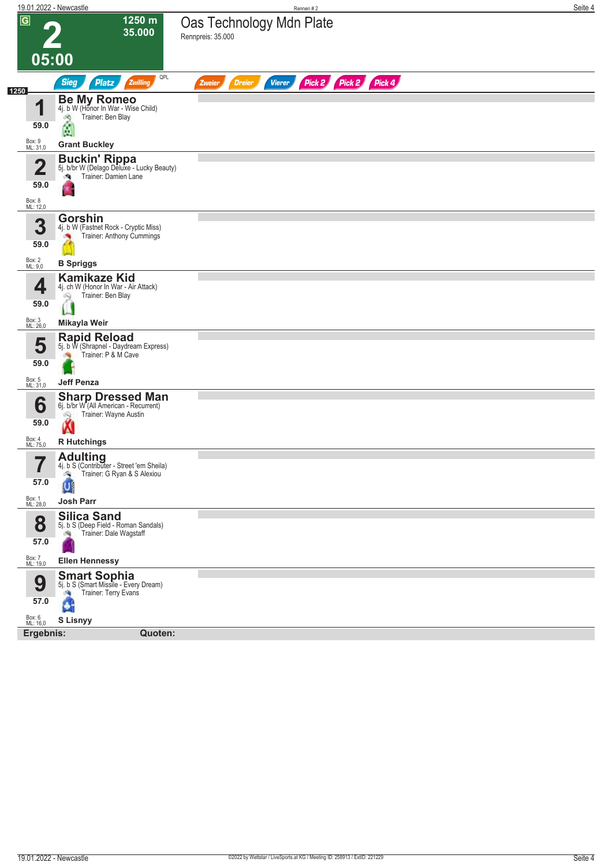|                         | 19.01.2022 - Newcastle                                                                          | Rennen#2                                                                | Seite 4 |
|-------------------------|-------------------------------------------------------------------------------------------------|-------------------------------------------------------------------------|---------|
| $\overline{G}$          | 1250 m<br>35.000                                                                                | Oas Technology Mdn Plate                                                |         |
|                         |                                                                                                 | Rennpreis: 35.000                                                       |         |
|                         | 05:00                                                                                           |                                                                         |         |
|                         | QPL<br><b>Sieg</b><br><b>Platz</b><br>Zwilling                                                  | Pick 2 Pick 2 Pick 4<br><b>Dreier</b><br><b>Vierer</b><br><b>Zweier</b> |         |
| 1250                    | <b>Be My Romeo</b><br>4j. b W (Honor In War - Wise Child)                                       |                                                                         |         |
| 1                       | Trainer: Ben Blay<br>d.                                                                         |                                                                         |         |
| 59.0                    | ۵                                                                                               |                                                                         |         |
| Box: 9<br>ML: 31,0      | <b>Grant Buckley</b>                                                                            |                                                                         |         |
| $\overline{\mathbf{2}}$ | <b>Buckin' Rippa</b><br>5j. b/br W (Delago Deluxe - Lucky Beauty)<br>Trainer: Damien Lane<br>đ. |                                                                         |         |
| 59.0                    |                                                                                                 |                                                                         |         |
| Box: 8<br>ML: 12,0      |                                                                                                 |                                                                         |         |
| 3                       | <b>Gorshin</b><br>4j. b W (Fastnet Rock - Cryptic Miss)                                         |                                                                         |         |
| 59.0                    | Trainer: Anthony Cummings                                                                       |                                                                         |         |
| Box: 2<br>ML: 9,0       | <b>B</b> Spriggs                                                                                |                                                                         |         |
|                         | <b>Kamikaze Kid</b><br>4j. ch W (Honor In War - Air Attack)                                     |                                                                         |         |
| 4<br>59.0               | Trainer: Ben Blay<br>Q                                                                          |                                                                         |         |
| Box: 3<br>ML: 26,0      | Mikayla Weir                                                                                    |                                                                         |         |
|                         | <b>Rapid Reload</b>                                                                             |                                                                         |         |
|                         | 5j. b W (Shrapnel - Daydream Express)<br>Trainer: P & M Cave                                    |                                                                         |         |
| 59.0                    |                                                                                                 |                                                                         |         |
| Box: 5<br>ML: 31,0      | <b>Jeff Penza</b>                                                                               |                                                                         |         |
| 6                       | <b>Sharp Dressed Man</b><br>6j. b/br W <sup>*</sup> (All American - Recurrent)                  |                                                                         |         |
| 59.0                    | Trainer: Wayne Austin<br>Q<br>M                                                                 |                                                                         |         |
| Box: 4<br>ML: 75,0      | <b>R</b> Hutchings                                                                              |                                                                         |         |
| —                       | <b>Adulting</b><br>4j. b S (Contributer - Street 'em Sheila)                                    |                                                                         |         |
| 57.0                    | Trainer: G Ryan & S Alexiou<br>G,                                                               |                                                                         |         |
| Box: 1<br>ML: 28,0      | <b>Josh Parr</b>                                                                                |                                                                         |         |
| 8                       | <b>Silica Sand</b>                                                                              |                                                                         |         |
| 57.0                    | 5j. b S (Deep Field - Roman Sandals)<br>Trainer: Dale Wagstaff<br>鸿                             |                                                                         |         |
|                         |                                                                                                 |                                                                         |         |
| Box: 7<br>ML: 19,0      | <b>Ellen Hennessy</b>                                                                           |                                                                         |         |
| 9                       | <b>Smart Sophia</b><br>5j. b S (Smart Missile - Every Dream)<br>Trainer: Terry Evans<br>A,      |                                                                         |         |
| 57.0                    | đ                                                                                               |                                                                         |         |
| Box: 6<br>ML: 16,0      | <b>S Lisnyy</b>                                                                                 |                                                                         |         |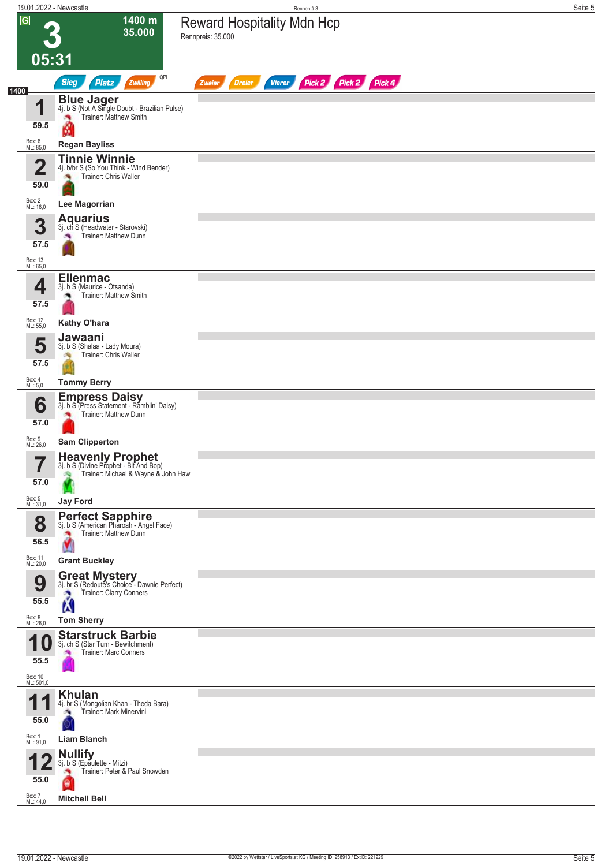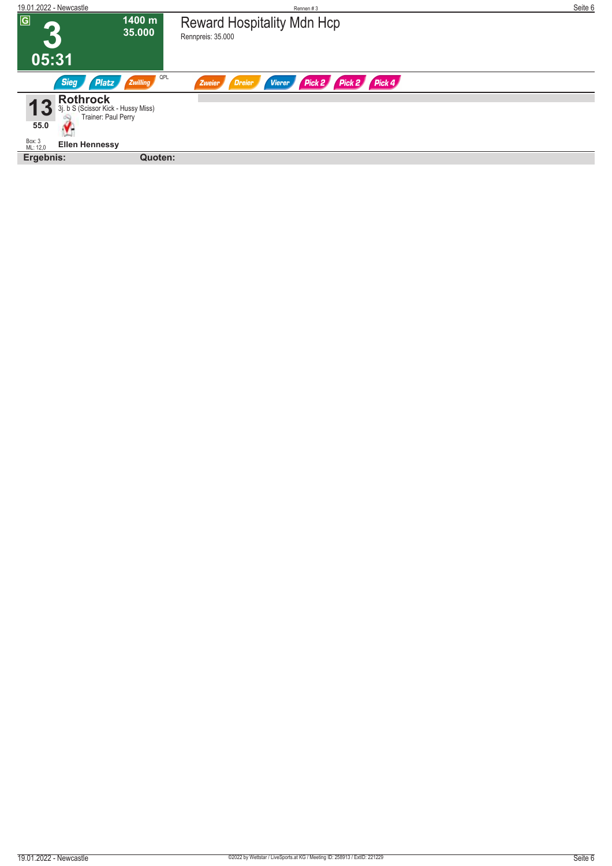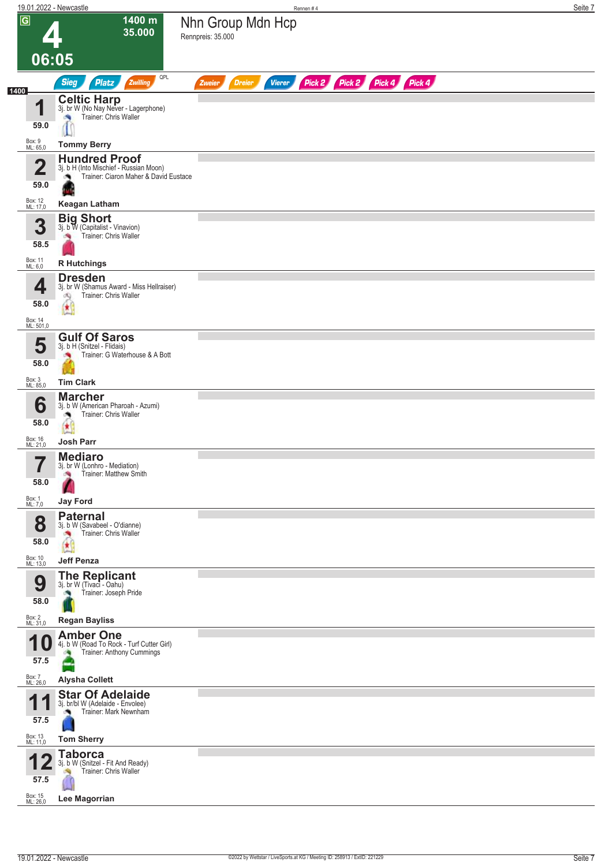|                                 | 19.01.2022 - Newcastle                                                                           | Rennen#4                                                                | Seite 7 |
|---------------------------------|--------------------------------------------------------------------------------------------------|-------------------------------------------------------------------------|---------|
| $\overline{G}$                  | 1400 m<br>35.000                                                                                 | Nhn Group Mdn Hcp<br>Rennpreis: 35.000                                  |         |
|                                 | 06:05                                                                                            |                                                                         |         |
|                                 | QPL<br><b>Sieg</b><br><b>Platz</b><br>Zwilling                                                   | Pick 2 Pick 2 Pick 4 Pick 4<br><b>Dreier</b><br><b>Vierer</b><br>Zweier |         |
| 1400<br>И                       | <b>Celtic Harp</b><br>3j. br W (No Nay Never - Lagerphone)<br>Trainer: Chris Waller              |                                                                         |         |
| 59.0                            | <b>Tommy Berry</b>                                                                               |                                                                         |         |
| Box: 9<br>ML: 65,0              | <b>Hundred Proof</b>                                                                             |                                                                         |         |
| $\overline{\mathbf{2}}$<br>59.0 | 3j. b H (Into Mischief - Russian Moon)<br>Trainer: Ciaron Maher & David Eustace<br>۸             |                                                                         |         |
| Box: 12<br>ML: 17,0             | <b>Keagan Latham</b>                                                                             |                                                                         |         |
| 3<br>58.5                       | <b>Big Short</b><br>3j. b W (Capitalist - Vinavion)<br>Trainer: Chris Waller                     |                                                                         |         |
| Box: 11<br>ML: 6,0              | <b>R</b> Hutchings                                                                               |                                                                         |         |
| 4<br>58.0                       | <b>Dresden</b><br>3j. br W (Shamus Award - Miss Hellraiser)<br>Trainer: Chris Waller<br>đQ<br>œС |                                                                         |         |
| Box: 14<br>ML: 501,0            |                                                                                                  |                                                                         |         |
| 5<br>58.0                       | <b>Gulf Of Saros</b><br>3j. b H (Snitzel - Flidais)<br>Trainer: G Waterhouse & A Bott            |                                                                         |         |
| Box: 3<br>ML: 85,0              | <b>Tim Clark</b>                                                                                 |                                                                         |         |
| 6<br>58.0                       | <b>Marcher</b><br>3j. b W (American Pharoah - Azumi)<br>Trainer: Chris Waller<br>Ø,<br>庚         |                                                                         |         |
| Box: 16<br>ML: 21,0             | <b>Josh Parr</b>                                                                                 |                                                                         |         |
| 7<br>$\blacksquare$<br>58.0     | <b>Mediaro</b><br>3j. br W (Lonhro - Mediation)<br>Trainer: Matthew Smith<br>×,                  |                                                                         |         |
| Box: 1<br>ML: 7,0               | <b>Jay Ford</b><br><b>Paternal</b>                                                               |                                                                         |         |
| 8<br>58.0                       | 3j. b W (Savabeel - O'dianne)<br>Trainer: Chris Waller<br>康                                      |                                                                         |         |
| Box: 10<br>ML: 13,0             | <b>Jeff Penza</b>                                                                                |                                                                         |         |
| 9<br>58.0                       | <b>The Replicant</b><br>3j. br W (Tivaci - Oahu)<br>Trainer: Joseph Pride                        |                                                                         |         |
| Box: 2<br>ML: 31,0              | <b>Regan Bayliss</b>                                                                             |                                                                         |         |
| и<br>57.5                       | <b>Amber One</b><br>4j. b W (Road To Rock - Turf Cutter Girl)<br>U<br>Trainer: Anthony Cummings  |                                                                         |         |
| Box: 7<br>ML: 26,0              | <b>Alysha Collett</b>                                                                            |                                                                         |         |
| И<br>57.5                       | <b>Star Of Adelaide</b><br>3j. br/bl W (Adelaide - Envolee)<br>Trainer: Mark Newnham             |                                                                         |         |
| Box: 13<br>ML: 11,0             | <b>Tom Sherry</b>                                                                                |                                                                         |         |
| 57.5<br>Box: 15<br>ML: 26,0     | <b>Taborca</b><br>3j. b W (Snitzel - Fit And Ready)<br>Trainer: Chris Waller<br>Lee Magorrian    |                                                                         |         |
|                                 |                                                                                                  |                                                                         |         |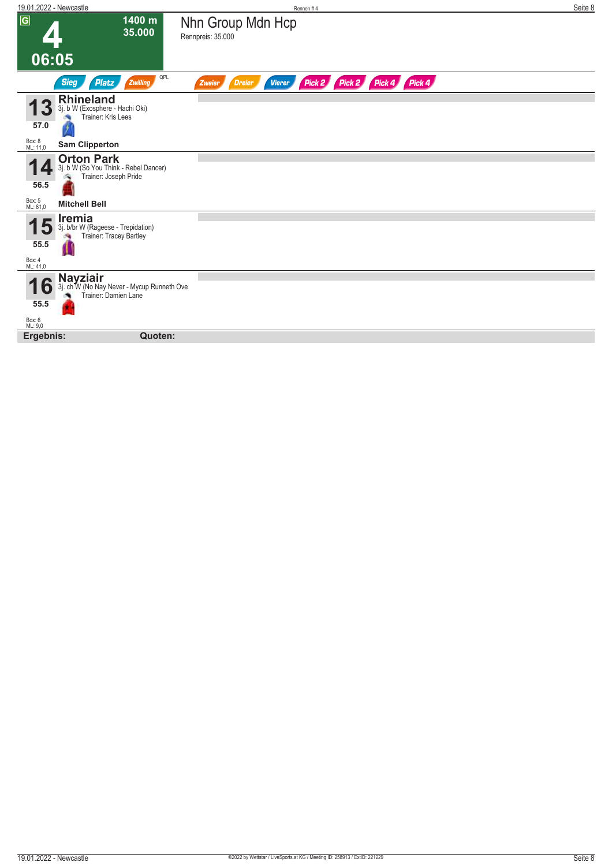| 19.01.2022 - Newcastle                                                                                     | Rennen#4                                                                   | Seite 8 |
|------------------------------------------------------------------------------------------------------------|----------------------------------------------------------------------------|---------|
| $\sqrt{G}$<br>1400 m<br>35.000                                                                             | Nhn Group Mdn Hcp<br>Rennpreis: 35.000                                     |         |
| 06:05                                                                                                      |                                                                            |         |
| QPL<br>Zwilling<br><b>Sieg</b><br><b>Platz</b>                                                             | Pick 2 Pick 4 Pick 4<br>Pick 2<br><b>Dreier</b><br><b>Vierer</b><br>Zweier |         |
| <b>Rhineland</b><br>3j. b W (Exosphere - Hachi Oki)<br>Trainer: Kris Lees<br>57.0                          |                                                                            |         |
| Box: 8<br>ML: 11,0<br><b>Sam Clipperton</b>                                                                |                                                                            |         |
| <b>Orton Park</b><br>3j. b W (So You Think - Rebel Dancer)<br>Trainer: Joseph Pride<br>56.5                |                                                                            |         |
| Box: 5<br>ML: 61,0<br><b>Mitchell Bell</b>                                                                 |                                                                            |         |
| Iremia<br>3j. b/br W (Rageese - Trepidation)<br>Đ<br>Trainer: Tracey Bartley<br>55.5<br>Box: 4<br>ML: 41,0 |                                                                            |         |
| <b>Nayziair</b><br>3j. ch W (No Nay Never - Mycup Runneth Ove<br>l O<br>Trainer: Damien Lane<br>55.5       |                                                                            |         |
| Box: 6<br>ML: 9,0<br>Ergebnis:<br>Quoten:                                                                  |                                                                            |         |
|                                                                                                            |                                                                            |         |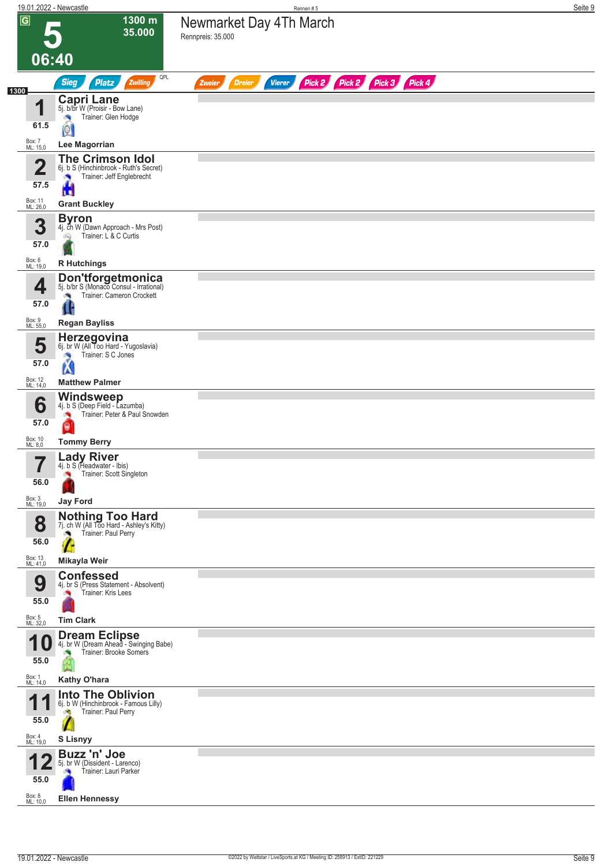|                         | 19.01.2022 - Newcastle                                                                         | Rennen#5                                                                | Seite 9 |
|-------------------------|------------------------------------------------------------------------------------------------|-------------------------------------------------------------------------|---------|
| $\overline{G}$          | 1300 m<br>35.000                                                                               | Newmarket Day 4Th March<br>Rennpreis: 35.000                            |         |
|                         |                                                                                                |                                                                         |         |
| 06:40                   | QPL                                                                                            |                                                                         |         |
| 1300                    | <b>Sieg</b><br><b>Platz</b><br>Zwilling                                                        | Pick 2 Pick 2 Pick 3 Pick 4<br><b>Dreier</b><br>Zweier<br><b>Vierer</b> |         |
| 4                       | <b>Capri Lane</b><br>5j. b/br W (Proisir - Bow Lane)<br>Trainer: Glen Hodge<br>×               |                                                                         |         |
| 61.5                    | $\boxed{0}$                                                                                    |                                                                         |         |
| Box: 7<br>ML: 15,0      | <b>Lee Magorrian</b>                                                                           |                                                                         |         |
| $\overline{\mathbf{2}}$ | <b>The Crimson Idol</b><br>6j. b S (Hinchinbrook - Ruth's Secret)<br>Trainer: Jeff Englebrecht |                                                                         |         |
| 57.5                    | <b>u</b>                                                                                       |                                                                         |         |
| Box: 11<br>ML: 26,0     | <b>Grant Buckley</b>                                                                           |                                                                         |         |
| 3                       | <b>Byron</b><br>4j. Ch W (Dawn Approach - Mrs Post)                                            |                                                                         |         |
| 57.0                    | Trainer: L & C Curtis                                                                          |                                                                         |         |
| Box: 6<br>ML: 19,0      | <b>R</b> Hutchings                                                                             |                                                                         |         |
| 4                       | <b>Don'tforgetmonica</b><br>5j. b/br S (Monaco Consul - Irrational)                            |                                                                         |         |
| 57.0                    | Trainer: Cameron Crockett                                                                      |                                                                         |         |
| Box: 9<br>ML: 55,0      | <b>Regan Bayliss</b>                                                                           |                                                                         |         |
| 5                       | Herzegovina<br>6j. br W (All Too Hard - Yugoslavia)                                            |                                                                         |         |
| 57.0                    | Trainer: S C Jones<br>×,<br>K                                                                  |                                                                         |         |
| Box: 12<br>ML: 14,0     | <b>Matthew Palmer</b>                                                                          |                                                                         |         |
| 6                       | <b>Windsweep</b><br>4j. b S (Deep Field - Lazumba)                                             |                                                                         |         |
| 57.0                    | Trainer: Peter & Paul Snowden<br>θ                                                             |                                                                         |         |
| Box: 10<br>ML: 8,0      | <b>Tommy Berry</b>                                                                             |                                                                         |         |
|                         | <b>Lady River</b><br>4j. b S (Headwater - Ibis)                                                |                                                                         |         |
| 56.0                    | Trainer: Scott Singleton                                                                       |                                                                         |         |
| Box: 3<br>ML: 19,0      | <b>Jay Ford</b>                                                                                |                                                                         |         |
| 8                       | Nothing Too Hard<br>7j. ch W (All Too Hard - Ashley's Kitty)                                   |                                                                         |         |
| 56.0                    | Trainer: Paul Perry<br>a.                                                                      |                                                                         |         |
| Box: 13<br>ML: 41,0     | Mikayla Weir                                                                                   |                                                                         |         |
| 9                       | <b>Confessed</b><br>4j. br S (Press Statement - Absolvent)                                     |                                                                         |         |
| 55.0                    | Trainer: Kris Lees                                                                             |                                                                         |         |
| Box: 5<br>ML: 32,0      | <b>Tim Clark</b>                                                                               |                                                                         |         |
| 10                      | <b>Dream Eclipse</b><br>4j. br W (Dream Ahead - Swinging Babe)                                 |                                                                         |         |
| 55.0                    | Trainer: Brooke Somers                                                                         |                                                                         |         |
| Box: 1<br>ML: 14,0      | Kathy O'hara                                                                                   |                                                                         |         |
| и                       | <b>Into The Oblivion</b><br>6j. b W (Hinchinbrook - Famous Lilly)                              |                                                                         |         |
| 55.0                    | Trainer: Paul Perry                                                                            |                                                                         |         |
| Box: 4<br>ML: 19,0      | <b>S Lisnyy</b>                                                                                |                                                                         |         |
|                         | Buzz 'n' Joe<br>5j. br W (Dissident - Larenco)                                                 |                                                                         |         |
| 55.0                    | Trainer: Lauri Parker                                                                          |                                                                         |         |
| Box: 8<br>ML: 10,0      | <b>Ellen Hennessy</b>                                                                          |                                                                         |         |
|                         |                                                                                                |                                                                         |         |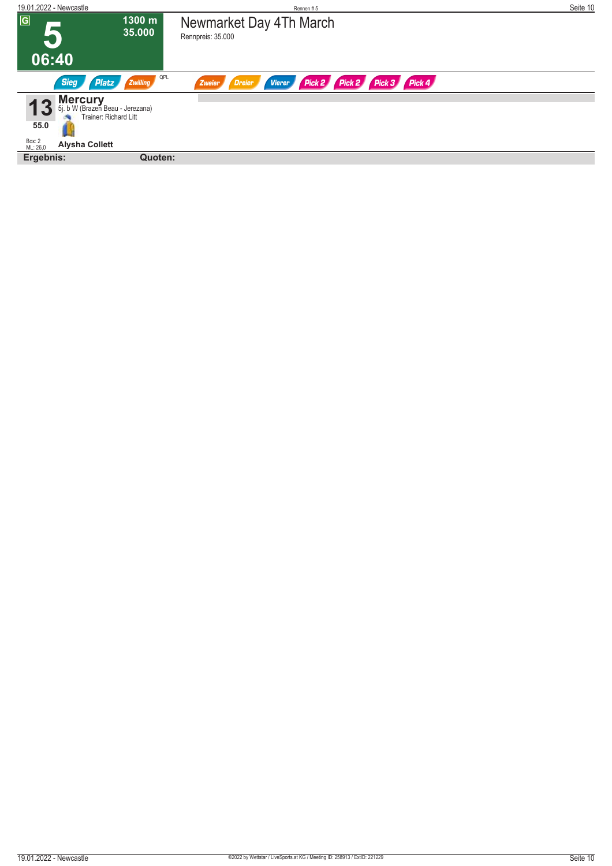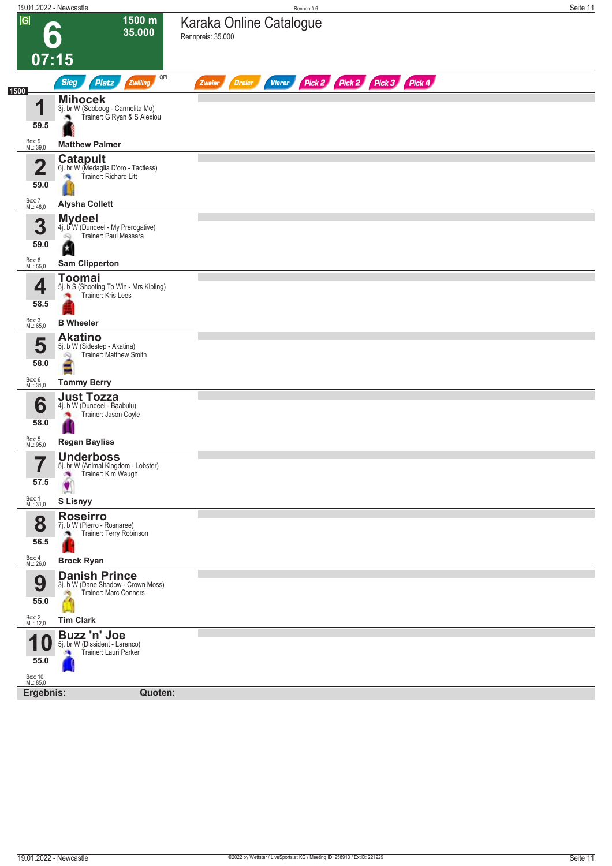|                                                            | 19.01.2022 - Newcastle                                                                           | Rennen#6                                                                | Seite 11 |
|------------------------------------------------------------|--------------------------------------------------------------------------------------------------|-------------------------------------------------------------------------|----------|
| $\overline{G}$                                             | 1500 m<br>$\bullet$<br>35.000                                                                    | Karaka Online Catalogue<br>Rennpreis: 35.000                            |          |
|                                                            | 07:15<br>QPL                                                                                     |                                                                         |          |
| 1500                                                       | Sieg<br><b>Platz</b><br>Zwilling                                                                 | Pick 2 Pick 2 Pick 3 Pick 4<br><b>Vierer</b><br><b>Dreier</b><br>Zweier |          |
| и<br>59.5                                                  | <b>Mihocek</b><br>3j. br W (Sooboog - Carmelita Mo)<br>Trainer: G Ryan & S Alexiou               |                                                                         |          |
| Box: 9<br>ML: 39,0                                         | <b>Matthew Palmer</b>                                                                            |                                                                         |          |
| $\mathbf{\Omega}$<br>L<br>59.0                             | <b>Catapult</b><br>6j. br W (Medaglia D'oro - Tactless)<br>Trainer: Richard Litt<br>澚            |                                                                         |          |
| Box: 7<br>ML: 48,0                                         | <b>Alysha Collett</b>                                                                            |                                                                         |          |
| 3<br>59.0                                                  | <b>Mydeel</b><br>4j. b <sup>o</sup> W (Dundeel - My Prerogative)<br>Trainer: Paul Messara<br>Q   |                                                                         |          |
| Box: 8<br>ML: 55,0                                         | <b>Sam Clipperton</b>                                                                            |                                                                         |          |
| 4<br>58.5                                                  | <b>Toomai</b><br>5j. b S (Shooting To Win - Mrs Kipling)<br>Trainer: Kris Lees                   |                                                                         |          |
| Box: 3<br>ML: 65,0                                         | <b>B</b> Wheeler                                                                                 |                                                                         |          |
| 5<br>58.0                                                  | <b>Akatino</b><br>5j. b W (Sidestep - Akatina)<br>Trainer: Matthew Smith<br>$\infty$<br>÷        |                                                                         |          |
| Box: 6<br>ML: 31,0                                         | <b>Tommy Berry</b>                                                                               |                                                                         |          |
| 6<br>58.0<br>Box: 5<br>ML: 95,0                            | <b>Just Tozza</b><br>4j. b W (Dundeel - Baabulu)<br>Trainer: Jason Coyle<br><b>Regan Bayliss</b> |                                                                         |          |
| $\overline{\textbf{z}}$<br>I<br>57.5<br>Box: 1<br>ML: 31,0 | <b>Underboss</b><br>5j. br W (Animal Kingdom - Lobster)<br>Trainer: Kim Waugh<br>S Lisnyy        |                                                                         |          |
|                                                            | <b>Roseirro</b>                                                                                  |                                                                         |          |
| 8<br>56.5                                                  | 7j. b W (Pierro - Rosnaree)<br>Trainer: Terry Robinson                                           |                                                                         |          |
| Box: 4<br>ML: 26,0                                         | <b>Brock Ryan</b>                                                                                |                                                                         |          |
| 9<br>55.0                                                  | <b>Danish Prince</b><br>3j. b W (Dane Shadow - Crown Moss)<br>Trainer: Marc Conners              |                                                                         |          |
| Box: 2<br>ML: 12,0                                         | <b>Tim Clark</b>                                                                                 |                                                                         |          |
| 55.0<br>Box: 10<br>ML: 85,0                                | <b>Buzz 'n' Joe</b><br>5j. br W (Dissident - Larenco)<br>Trainer: Lauri Parker<br><b>SA</b>      |                                                                         |          |
| Ergebnis:                                                  | Quoten:                                                                                          |                                                                         |          |
|                                                            |                                                                                                  |                                                                         |          |